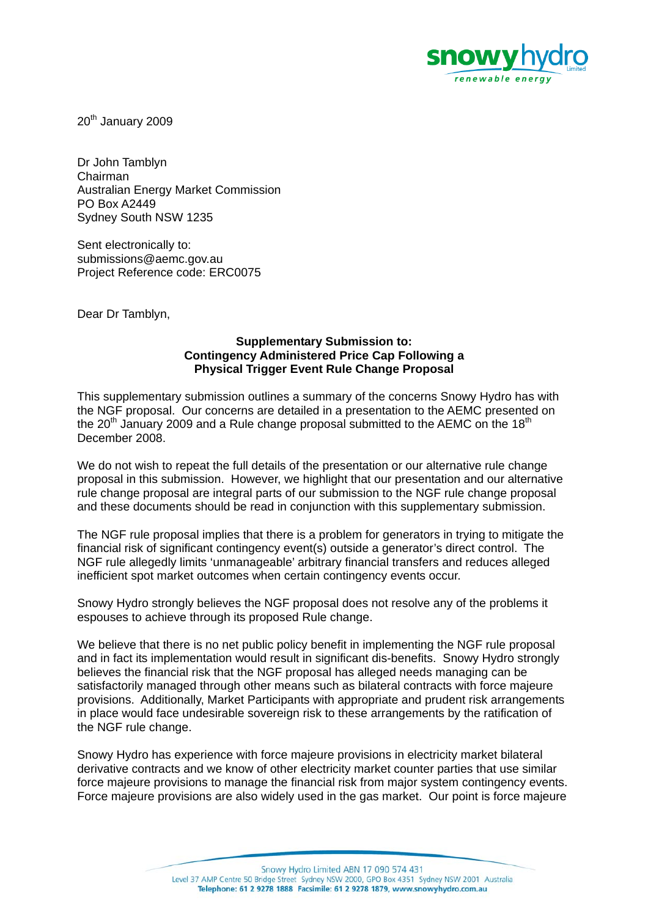

20<sup>th</sup> January 2009

Dr John Tamblyn Chairman Australian Energy Market Commission PO Box A2449 Sydney South NSW 1235

Sent electronically to: submissions@aemc.gov.au Project Reference code: ERC0075

Dear Dr Tamblyn,

### **Supplementary Submission to: Contingency Administered Price Cap Following a Physical Trigger Event Rule Change Proposal**

This supplementary submission outlines a summary of the concerns Snowy Hydro has with the NGF proposal. Our concerns are detailed in a presentation to the AEMC presented on the 20<sup>th</sup> January 2009 and a Rule change proposal submitted to the AEMC on the 18<sup>th</sup> December 2008.

We do not wish to repeat the full details of the presentation or our alternative rule change proposal in this submission. However, we highlight that our presentation and our alternative rule change proposal are integral parts of our submission to the NGF rule change proposal and these documents should be read in conjunction with this supplementary submission.

The NGF rule proposal implies that there is a problem for generators in trying to mitigate the financial risk of significant contingency event(s) outside a generator's direct control. The NGF rule allegedly limits 'unmanageable' arbitrary financial transfers and reduces alleged inefficient spot market outcomes when certain contingency events occur.

Snowy Hydro strongly believes the NGF proposal does not resolve any of the problems it espouses to achieve through its proposed Rule change.

We believe that there is no net public policy benefit in implementing the NGF rule proposal and in fact its implementation would result in significant dis-benefits. Snowy Hydro strongly believes the financial risk that the NGF proposal has alleged needs managing can be satisfactorily managed through other means such as bilateral contracts with force majeure provisions. Additionally, Market Participants with appropriate and prudent risk arrangements in place would face undesirable sovereign risk to these arrangements by the ratification of the NGF rule change.

Snowy Hydro has experience with force majeure provisions in electricity market bilateral derivative contracts and we know of other electricity market counter parties that use similar force majeure provisions to manage the financial risk from major system contingency events. Force majeure provisions are also widely used in the gas market. Our point is force majeure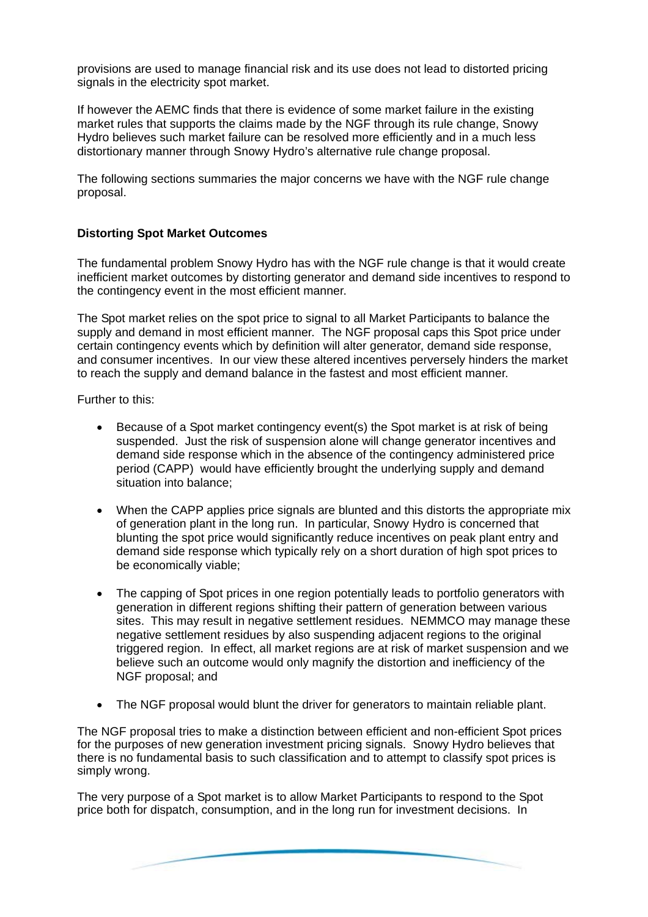provisions are used to manage financial risk and its use does not lead to distorted pricing signals in the electricity spot market.

If however the AEMC finds that there is evidence of some market failure in the existing market rules that supports the claims made by the NGF through its rule change, Snowy Hydro believes such market failure can be resolved more efficiently and in a much less distortionary manner through Snowy Hydro's alternative rule change proposal.

The following sections summaries the major concerns we have with the NGF rule change proposal.

# **Distorting Spot Market Outcomes**

The fundamental problem Snowy Hydro has with the NGF rule change is that it would create inefficient market outcomes by distorting generator and demand side incentives to respond to the contingency event in the most efficient manner.

The Spot market relies on the spot price to signal to all Market Participants to balance the supply and demand in most efficient manner. The NGF proposal caps this Spot price under certain contingency events which by definition will alter generator, demand side response, and consumer incentives. In our view these altered incentives perversely hinders the market to reach the supply and demand balance in the fastest and most efficient manner.

Further to this:

- Because of a Spot market contingency event(s) the Spot market is at risk of being suspended. Just the risk of suspension alone will change generator incentives and demand side response which in the absence of the contingency administered price period (CAPP) would have efficiently brought the underlying supply and demand situation into balance;
- When the CAPP applies price signals are blunted and this distorts the appropriate mix of generation plant in the long run. In particular, Snowy Hydro is concerned that blunting the spot price would significantly reduce incentives on peak plant entry and demand side response which typically rely on a short duration of high spot prices to be economically viable;
- The capping of Spot prices in one region potentially leads to portfolio generators with generation in different regions shifting their pattern of generation between various sites. This may result in negative settlement residues. NEMMCO may manage these negative settlement residues by also suspending adjacent regions to the original triggered region. In effect, all market regions are at risk of market suspension and we believe such an outcome would only magnify the distortion and inefficiency of the NGF proposal; and
- The NGF proposal would blunt the driver for generators to maintain reliable plant.

The NGF proposal tries to make a distinction between efficient and non-efficient Spot prices for the purposes of new generation investment pricing signals. Snowy Hydro believes that there is no fundamental basis to such classification and to attempt to classify spot prices is simply wrong.

The very purpose of a Spot market is to allow Market Participants to respond to the Spot price both for dispatch, consumption, and in the long run for investment decisions. In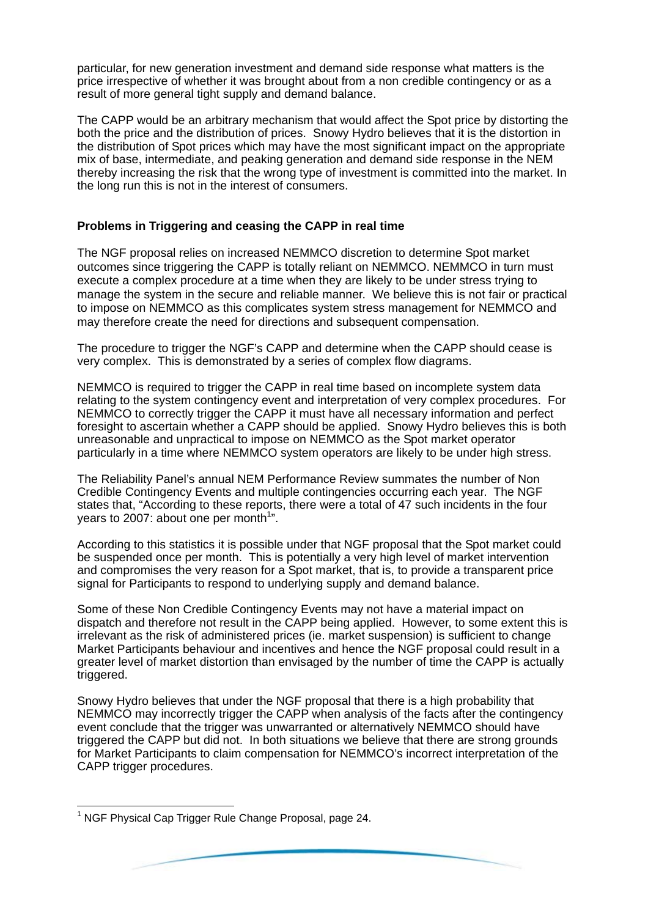particular, for new generation investment and demand side response what matters is the price irrespective of whether it was brought about from a non credible contingency or as a result of more general tight supply and demand balance.

The CAPP would be an arbitrary mechanism that would affect the Spot price by distorting the both the price and the distribution of prices. Snowy Hydro believes that it is the distortion in the distribution of Spot prices which may have the most significant impact on the appropriate mix of base, intermediate, and peaking generation and demand side response in the NEM thereby increasing the risk that the wrong type of investment is committed into the market. In the long run this is not in the interest of consumers.

## **Problems in Triggering and ceasing the CAPP in real time**

The NGF proposal relies on increased NEMMCO discretion to determine Spot market outcomes since triggering the CAPP is totally reliant on NEMMCO. NEMMCO in turn must execute a complex procedure at a time when they are likely to be under stress trying to manage the system in the secure and reliable manner. We believe this is not fair or practical to impose on NEMMCO as this complicates system stress management for NEMMCO and may therefore create the need for directions and subsequent compensation.

The procedure to trigger the NGF's CAPP and determine when the CAPP should cease is very complex. This is demonstrated by a series of complex flow diagrams.

NEMMCO is required to trigger the CAPP in real time based on incomplete system data relating to the system contingency event and interpretation of very complex procedures. For NEMMCO to correctly trigger the CAPP it must have all necessary information and perfect foresight to ascertain whether a CAPP should be applied. Snowy Hydro believes this is both unreasonable and unpractical to impose on NEMMCO as the Spot market operator particularly in a time where NEMMCO system operators are likely to be under high stress.

The Reliability Panel's annual NEM Performance Review summates the number of Non Credible Contingency Events and multiple contingencies occurring each year. The NGF states that, "According to these reports, there were a total of 47 such incidents in the four years to 2007: about one per month<sup>1</sup>".

According to this statistics it is possible under that NGF proposal that the Spot market could be suspended once per month. This is potentially a very high level of market intervention and compromises the very reason for a Spot market, that is, to provide a transparent price signal for Participants to respond to underlying supply and demand balance.

Some of these Non Credible Contingency Events may not have a material impact on dispatch and therefore not result in the CAPP being applied. However, to some extent this is irrelevant as the risk of administered prices (ie. market suspension) is sufficient to change Market Participants behaviour and incentives and hence the NGF proposal could result in a greater level of market distortion than envisaged by the number of time the CAPP is actually triggered.

Snowy Hydro believes that under the NGF proposal that there is a high probability that NEMMCO may incorrectly trigger the CAPP when analysis of the facts after the contingency event conclude that the trigger was unwarranted or alternatively NEMMCO should have triggered the CAPP but did not. In both situations we believe that there are strong grounds for Market Participants to claim compensation for NEMMCO's incorrect interpretation of the CAPP trigger procedures.

l

<sup>&</sup>lt;sup>1</sup> NGF Physical Cap Trigger Rule Change Proposal, page 24.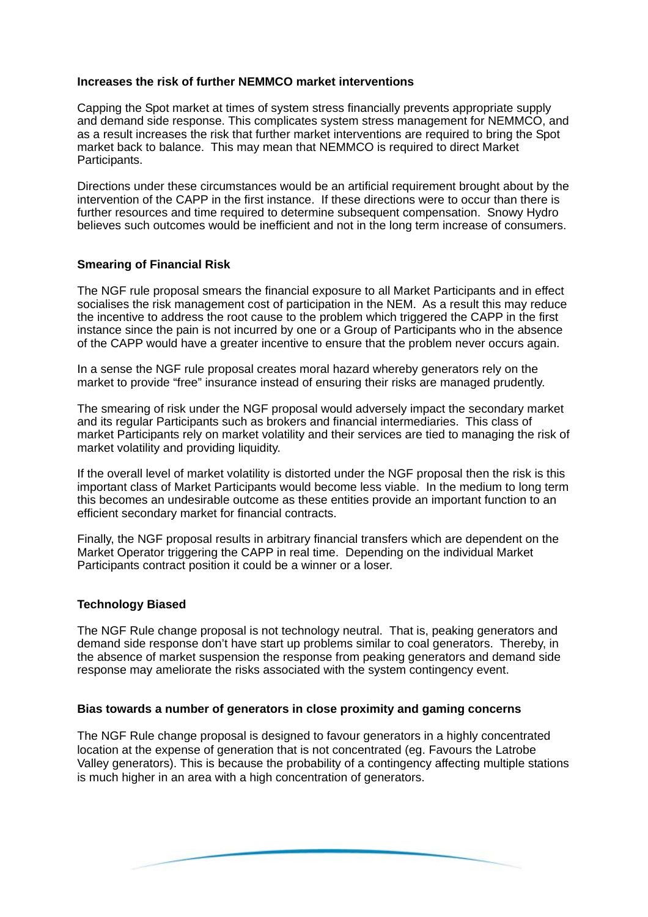## **Increases the risk of further NEMMCO market interventions**

Capping the Spot market at times of system stress financially prevents appropriate supply and demand side response. This complicates system stress management for NEMMCO, and as a result increases the risk that further market interventions are required to bring the Spot market back to balance. This may mean that NEMMCO is required to direct Market Participants.

Directions under these circumstances would be an artificial requirement brought about by the intervention of the CAPP in the first instance. If these directions were to occur than there is further resources and time required to determine subsequent compensation. Snowy Hydro believes such outcomes would be inefficient and not in the long term increase of consumers.

### **Smearing of Financial Risk**

The NGF rule proposal smears the financial exposure to all Market Participants and in effect socialises the risk management cost of participation in the NEM. As a result this may reduce the incentive to address the root cause to the problem which triggered the CAPP in the first instance since the pain is not incurred by one or a Group of Participants who in the absence of the CAPP would have a greater incentive to ensure that the problem never occurs again.

In a sense the NGF rule proposal creates moral hazard whereby generators rely on the market to provide "free" insurance instead of ensuring their risks are managed prudently.

The smearing of risk under the NGF proposal would adversely impact the secondary market and its regular Participants such as brokers and financial intermediaries. This class of market Participants rely on market volatility and their services are tied to managing the risk of market volatility and providing liquidity.

If the overall level of market volatility is distorted under the NGF proposal then the risk is this important class of Market Participants would become less viable. In the medium to long term this becomes an undesirable outcome as these entities provide an important function to an efficient secondary market for financial contracts.

Finally, the NGF proposal results in arbitrary financial transfers which are dependent on the Market Operator triggering the CAPP in real time. Depending on the individual Market Participants contract position it could be a winner or a loser.

#### **Technology Biased**

The NGF Rule change proposal is not technology neutral. That is, peaking generators and demand side response don't have start up problems similar to coal generators. Thereby, in the absence of market suspension the response from peaking generators and demand side response may ameliorate the risks associated with the system contingency event.

#### **Bias towards a number of generators in close proximity and gaming concerns**

The NGF Rule change proposal is designed to favour generators in a highly concentrated location at the expense of generation that is not concentrated (eg. Favours the Latrobe Valley generators). This is because the probability of a contingency affecting multiple stations is much higher in an area with a high concentration of generators.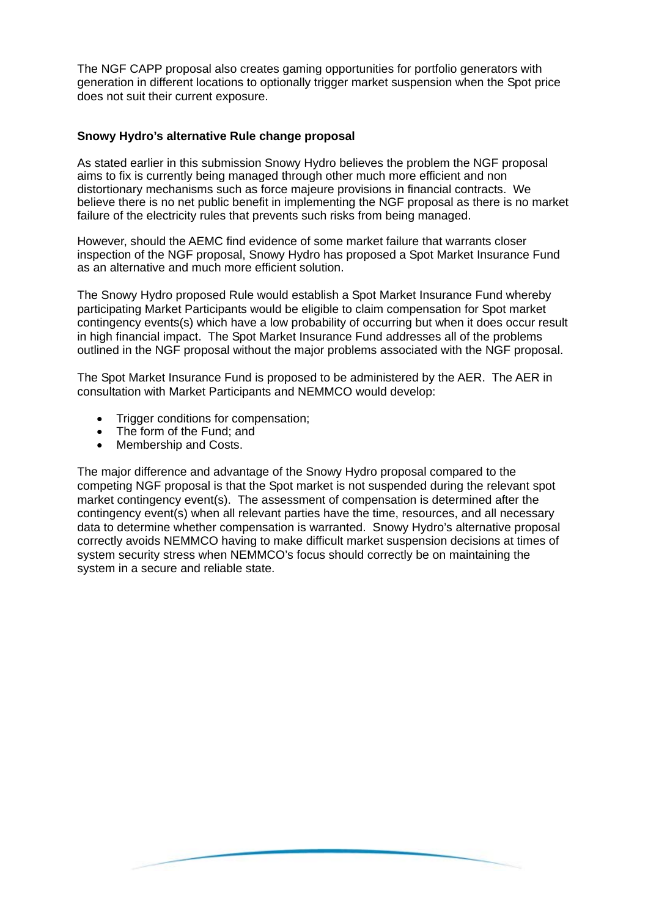The NGF CAPP proposal also creates gaming opportunities for portfolio generators with generation in different locations to optionally trigger market suspension when the Spot price does not suit their current exposure.

# **Snowy Hydro's alternative Rule change proposal**

As stated earlier in this submission Snowy Hydro believes the problem the NGF proposal aims to fix is currently being managed through other much more efficient and non distortionary mechanisms such as force majeure provisions in financial contracts. We believe there is no net public benefit in implementing the NGF proposal as there is no market failure of the electricity rules that prevents such risks from being managed.

However, should the AEMC find evidence of some market failure that warrants closer inspection of the NGF proposal, Snowy Hydro has proposed a Spot Market Insurance Fund as an alternative and much more efficient solution.

The Snowy Hydro proposed Rule would establish a Spot Market Insurance Fund whereby participating Market Participants would be eligible to claim compensation for Spot market contingency events(s) which have a low probability of occurring but when it does occur result in high financial impact. The Spot Market Insurance Fund addresses all of the problems outlined in the NGF proposal without the major problems associated with the NGF proposal.

The Spot Market Insurance Fund is proposed to be administered by the AER. The AER in consultation with Market Participants and NEMMCO would develop:

- Trigger conditions for compensation;
- The form of the Fund; and
- Membership and Costs.

The major difference and advantage of the Snowy Hydro proposal compared to the competing NGF proposal is that the Spot market is not suspended during the relevant spot market contingency event(s). The assessment of compensation is determined after the contingency event(s) when all relevant parties have the time, resources, and all necessary data to determine whether compensation is warranted. Snowy Hydro's alternative proposal correctly avoids NEMMCO having to make difficult market suspension decisions at times of system security stress when NEMMCO's focus should correctly be on maintaining the system in a secure and reliable state.